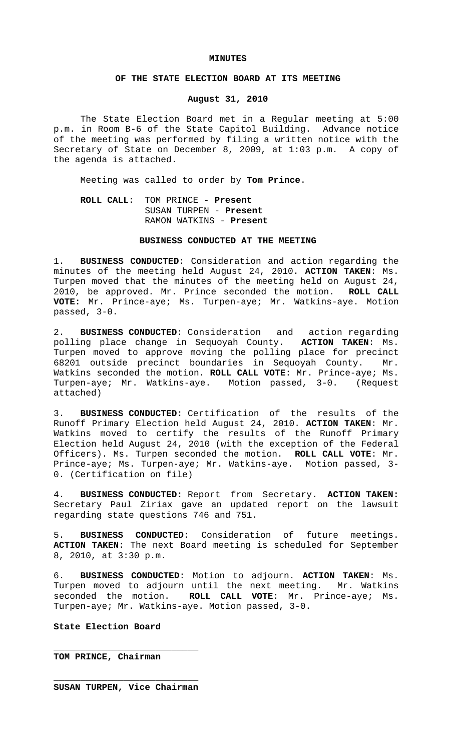#### **MINUTES**

## **OF THE STATE ELECTION BOARD AT ITS MEETING**

## **August 31, 2010**

The State Election Board met in a Regular meeting at 5:00 p.m. in Room B-6 of the State Capitol Building. Advance notice of the meeting was performed by filing a written notice with the Secretary of State on December 8, 2009, at 1:03 p.m. A copy of the agenda is attached.

Meeting was called to order by **Tom Prince**.

# **ROLL CALL**: TOM PRINCE - **Present** SUSAN TURPEN - **Present** RAMON WATKINS - **Present**

### **BUSINESS CONDUCTED AT THE MEETING**

1. **BUSINESS CONDUCTED**: Consideration and action regarding the minutes of the meeting held August 24, 2010. **ACTION TAKEN**: Ms. Turpen moved that the minutes of the meeting held on August 24, 2010, be approved. Mr. Prince seconded the motion. **ROLL CALL VOTE:** Mr. Prince-aye; Ms. Turpen-aye; Mr. Watkins-aye. Motion passed, 3-0.

2. **BUSINESS CONDUCTED**: Consideration and action regarding polling place change in Sequoyah County. **ACTION TAKEN**: Ms. Turpen moved to approve moving the polling place for precinct 68201 outside precinct boundaries in Sequoyah County. Mr. Watkins seconded the motion. **ROLL CALL VOTE**: Mr. Prince-aye; Ms. Turpen-aye; Mr. Watkins-aye. Motion passed, 3-0. (Request attached)

3. **BUSINESS CONDUCTED:** Certification of the results of the Runoff Primary Election held August 24, 2010. **ACTION TAKEN**: Mr. Watkins moved to certify the results of the Runoff Primary Election held August 24, 2010 (with the exception of the Federal Officers). Ms. Turpen seconded the motion. **ROLL CALL VOTE**: Mr. Prince-aye; Ms. Turpen-aye; Mr. Watkins-aye. Motion passed, 3- 0. (Certification on file)

4. **BUSINESS CONDUCTED:** Report from Secretary. **ACTION TAKEN:** Secretary Paul Ziriax gave an updated report on the lawsuit regarding state questions 746 and 751.

5. **BUSINESS CONDUCTED**: Consideration of future meetings. **ACTION TAKEN**: The next Board meeting is scheduled for September 8, 2010, at 3:30 p.m.

6. **BUSINESS CONDUCTED**: Motion to adjourn. **ACTION TAKEN**: Ms. Turpen moved to adjourn until the next meeting. Mr. Watkins seconded the motion. **ROLL CALL VOTE**: Mr. Prince-aye; Ms. Turpen-aye; Mr. Watkins-aye. Motion passed, 3-0.

## **State Election Board**

**TOM PRINCE, Chairman**

\_\_\_\_\_\_\_\_\_\_\_\_\_\_\_\_\_\_\_\_\_\_\_\_\_\_\_